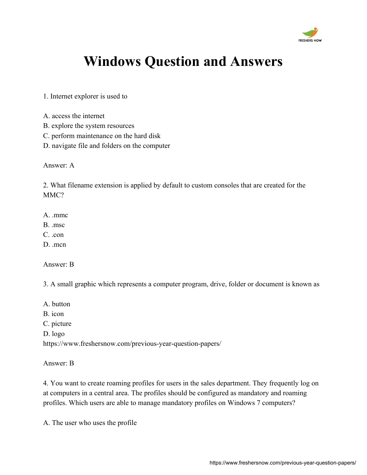

1. Internet explorer is used to

- A. access the internet
- B. explore the system resources
- C. perform maintenance on the hard disk
- D. navigate file and folders on the computer

Answer: A

2. What filename extension is applied by default to custom consoles that are created for the MMC?

- A. .mmc
- B. .msc
- C. .con
- D. mcn

Answer: B

3. A small graphic which represents a computer program, drive, folder or document is known as

- A. button
- B. icon
- C. picture
- D. logo

<https://www.freshersnow.com/previous-year-question-papers/>

Answer: B

4. You want to create roaming profiles for users in the sales department. They frequently log on at computers in a central area. The profiles should be configured as mandatory and roaming profiles. Which users are able to manage mandatory profiles on Windows 7 computers?

A. The user who uses the profile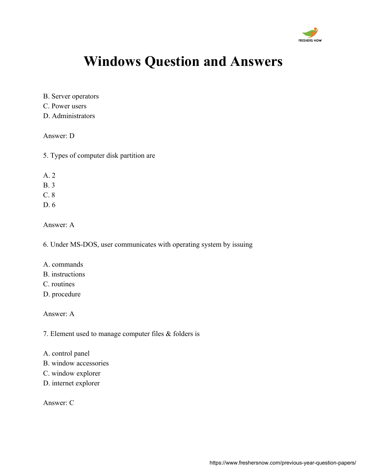

- B. Server operators
- C. Power users
- D. Administrators

#### Answer: D

- 5. Types of computer disk partition are
- A. 2
- B. 3
- C. 8
- D. 6

Answer: A

6. Under MS-DOS, user communicates with operating system by issuing

- A. commands
- B. instructions
- C. routines
- D. procedure

Answer: A

7. Element used to manage computer files & folders is

- A. control panel
- B. window accessories
- C. window explorer
- D. internet explorer

Answer: C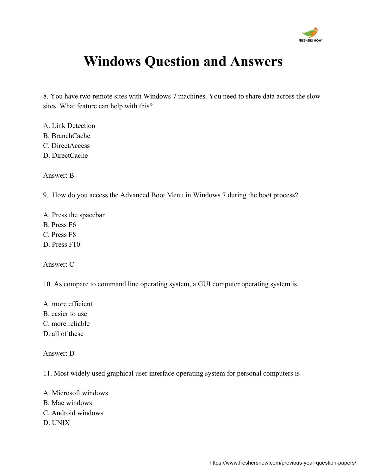

8. You have two remote sites with Windows 7 machines. You need to share data across the slow sites. What feature can help with this?

- A. Link Detection
- B. BranchCache
- C. DirectAccess
- D. DirectCache

Answer: B

9. How do you access the Advanced Boot Menu in Windows 7 during the boot process?

- A. Press the spacebar
- B. Press F6
- C. Press F8
- D. Press F10

Answer: C

10. As compare to command line operating system, a GUI computer operating system is

- A. more efficient
- B. easier to use
- C. more reliable
- D. all of these

Answer: D

11. Most widely used graphical user interface operating system for personal computers is

- A. Microsoft windows
- B. Mac windows
- C. Android windows
- D. UNIX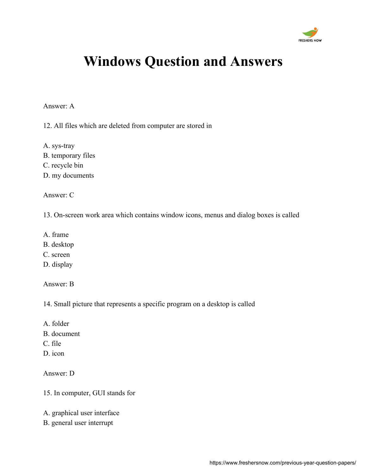

#### Answer: A

12. All files which are deleted from computer are stored in

- A. sys-tray
- B. temporary files
- C. recycle bin
- D. my documents

Answer: C

13. On-screen work area which contains window icons, menus and dialog boxes is called

- A. frame
- B. desktop
- C. screen
- D. display

Answer: B

14. Small picture that represents a specific program on a desktop is called

- A. folder
- B. document
- C. file
- D. icon

Answer: D

- 15. In computer, GUI stands for
- A. graphical user interface
- B. general user interrupt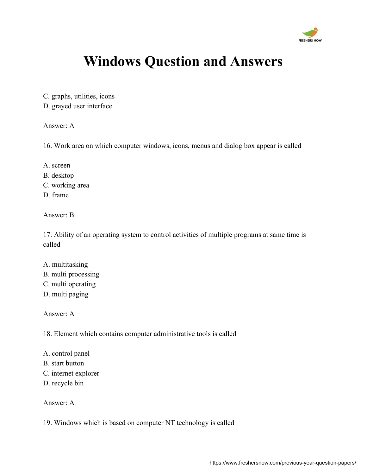

C. graphs, utilities, icons

D. grayed user interface

Answer: A

16. Work area on which computer windows, icons, menus and dialog box appear is called

- A. screen
- B. desktop
- C. working area
- D. frame

Answer: B

17. Ability of an operating system to control activities of multiple programs at same time is called

- A. multitasking
- B. multi processing
- C. multi operating
- D. multi paging

Answer: A

18. Element which contains computer administrative tools is called

- A. control panel
- B. start button
- C. internet explorer
- D. recycle bin

Answer: A

19. Windows which is based on computer NT technology is called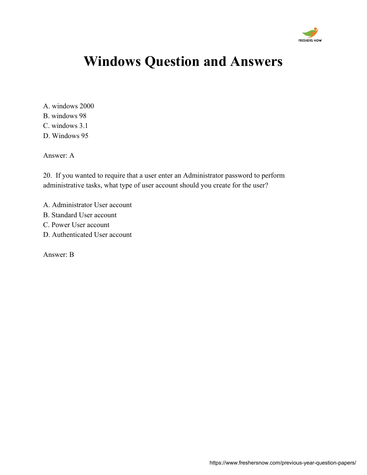

A. windows 2000 B. windows 98 C. windows 3.1 D. Windows 95

Answer: A

20. If you wanted to require that a user enter an Administrator password to perform administrative tasks, what type of user account should you create for the user?

- A. Administrator User account
- B. Standard User account
- C. Power User account
- D. Authenticated User account

Answer: B